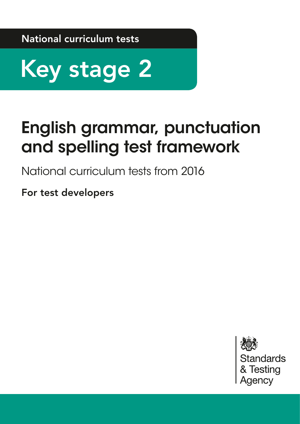National curriculum tests



# English grammar, punctuation and spelling test framework

National curriculum tests from 2016

For test developers

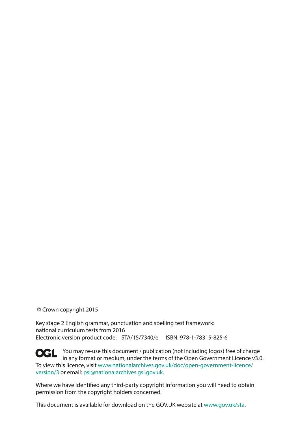© Crown copyright 2015

Key stage 2 English grammar, punctuation and spelling test framework: national curriculum tests from 2016 Electronic version product code: STA/15/7340/e ISBN: 978-1-78315-825-6

**OCL** You may re-use this document / publication (not including logos) free of charge in any format or medium, under the terms of the Open Government Licence v3.0. To view this licence, visit [www.nationalarchives.gov.uk/doc/open-government-licence/](www.nationalarchives.gov.uk/doc/open-government-licence/version/2) [version/](www.nationalarchives.gov.uk/doc/open-government-licence/version/2)3 or email: psi@nationalarchives.gsi.gov.uk.

Where we have identifed any third-party copyright information you will need to obtain permission from the copyright holders concerned.

This document is available for download on the GOV.UK website at www.gov.uk/sta.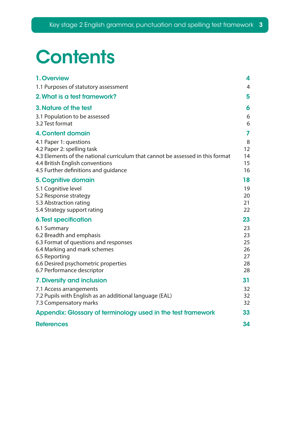# **Contents**

| 1. Overview                                                                                                                                                                                                       | 4                                      |
|-------------------------------------------------------------------------------------------------------------------------------------------------------------------------------------------------------------------|----------------------------------------|
| 1.1 Purposes of statutory assessment                                                                                                                                                                              | $\overline{4}$                         |
| 2. What is a test framework?                                                                                                                                                                                      | 5                                      |
| 3. Nature of the test                                                                                                                                                                                             | 6                                      |
| 3.1 Population to be assessed<br>3.2 Test format                                                                                                                                                                  | 6<br>6                                 |
| 4. Content domain                                                                                                                                                                                                 | 7                                      |
| 4.1 Paper 1: questions<br>4.2 Paper 2: spelling task<br>4.3 Elements of the national curriculum that cannot be assessed in this format<br>4.4 British English conventions<br>4.5 Further definitions and quidance | 8<br>12<br>14<br>15<br>16              |
| 5. Cognitive domain                                                                                                                                                                                               | 18                                     |
| 5.1 Cognitive level<br>5.2 Response strategy<br>5.3 Abstraction rating<br>5.4 Strategy support rating                                                                                                             | 19<br>20<br>21<br>22                   |
| <b>6. Test specification</b>                                                                                                                                                                                      | 23                                     |
| 6.1 Summary<br>6.2 Breadth and emphasis<br>6.3 Format of questions and responses<br>6.4 Marking and mark schemes<br>6.5 Reporting<br>6.6 Desired psychometric properties<br>6.7 Performance descriptor            | 23<br>23<br>25<br>26<br>27<br>28<br>28 |
| 7. Diversity and inclusion                                                                                                                                                                                        | 31                                     |
| 7.1 Access arrangements<br>7.2 Pupils with English as an additional language (EAL)<br>7.3 Compensatory marks                                                                                                      | 32<br>32<br>32                         |
| Appendix: Glossary of terminology used in the test framework                                                                                                                                                      | 33                                     |
| <b>References</b>                                                                                                                                                                                                 | 34                                     |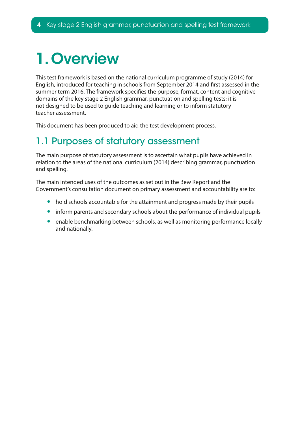# <span id="page-3-0"></span>1. Overview

This test framework is based on the national curriculum programme of study (2014) for English, introduced for teaching in schools from September 2014 and frst assessed in the summer term 2016. The framework specifes the purpose, format, content and cognitive domains of the key stage 2 English grammar, punctuation and spelling tests; it is not designed to be used to guide teaching and learning or to inform statutory teacher assessment.

This document has been produced to aid the test development process.

## 1.1 Purposes of statutory assessment

The main purpose of statutory assessment is to ascertain what pupils have achieved in relation to the areas of the national curriculum (2014) describing grammar, punctuation and spelling.

The main intended uses of the outcomes as set out in the Bew Report and the Government's consultation document on primary assessment and accountability are to:

- hold schools accountable for the attainment and progress made by their pupils
- inform parents and secondary schools about the performance of individual pupils
- enable benchmarking between schools, as well as monitoring performance locally and nationally.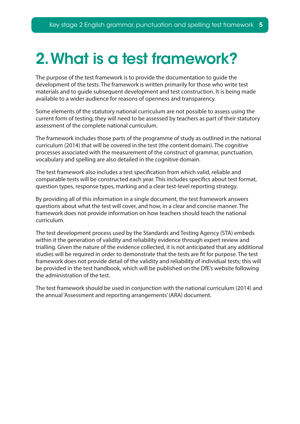## <span id="page-4-0"></span>2. What is a test framework?

The purpose of the test framework is to provide the documentation to guide the development of the tests. The framework is written primarily for those who write test materials and to guide subsequent development and test construction. It is being made available to a wider audience for reasons of openness and transparency.

Some elements of the statutory national curriculum are not possible to assess using the current form of testing; they will need to be assessed by teachers as part of their statutory assessment of the complete national curriculum.

The framework includes those parts of the programme of study as outlined in the national curriculum (2014) that will be covered in the test (the content domain). The cognitive processes associated with the measurement of the construct of grammar, punctuation, vocabulary and spelling are also detailed in the cognitive domain.

The test framework also includes a test specifcation from which valid, reliable and comparable tests will be constructed each year. This includes specifcs about test format, question types, response types, marking and a clear test-level reporting strategy.

By providing all of this information in a single document, the test framework answers questions about what the test will cover, and how, in a clear and concise manner. The framework does not provide information on how teachers should teach the national curriculum.

The test development process used by the Standards and Testing Agency (STA) embeds within it the generation of validity and reliability evidence through expert review and trialling. Given the nature of the evidence collected, it is not anticipated that any additional studies will be required in order to demonstrate that the tests are ft for purpose. The test framework does not provide detail of the validity and reliability of individual tests; this will be provided in the test handbook, which will be published on the DfE's website following the administration of the test.

The test framework should be used in conjunction with the national curriculum (2014) and the annual 'Assessment and reporting arrangements' (ARA) document.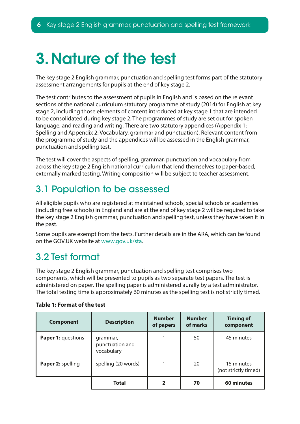# <span id="page-5-0"></span>3. Nature of the test

The key stage 2 English grammar, punctuation and spelling test forms part of the statutory assessment arrangements for pupils at the end of key stage 2.

The test contributes to the assessment of pupils in English and is based on the relevant sections of the national curriculum statutory programme of study (2014) for English at key stage 2, including those elements of content introduced at key stage 1 that are intended to be consolidated during key stage 2. The programmes of study are set out for spoken language, and reading and writing. There are two statutory appendices (Appendix 1: Spelling and Appendix 2: Vocabulary, grammar and punctuation). Relevant content from the programme of study and the appendices will be assessed in the English grammar, punctuation and spelling test.

The test will cover the aspects of spelling, grammar, punctuation and vocabulary from across the key stage 2 English national curriculum that lend themselves to paper-based, externally marked testing. Writing composition will be subject to teacher assessment.

## 3.1 Population to be assessed

All eligible pupils who are registered at maintained schools, special schools or academies (including free schools) in England and are at the end of key stage 2 will be required to take the key stage 2 English grammar, punctuation and spelling test, unless they have taken it in the past.

Some pupils are exempt from the tests. Further details are in the ARA, which can be found on the GOV.UK website at www.gov.uk/sta.

## 3.2 Test format

The key stage 2 English grammar, punctuation and spelling test comprises two components, which will be presented to pupils as two separate test papers. The test is administered on paper. The spelling paper is administered aurally by a test administrator. The total testing time is approximately 60 minutes as the spelling test is not strictly timed.

| <b>Component</b>   | <b>Description</b>                        | <b>Number</b><br>of papers | <b>Number</b><br>of marks | <b>Timing of</b><br>component      |
|--------------------|-------------------------------------------|----------------------------|---------------------------|------------------------------------|
| Paper 1: questions | grammar,<br>punctuation and<br>vocabulary |                            | 50                        | 45 minutes                         |
| Paper 2: spelling  | spelling (20 words)                       |                            | 20                        | 15 minutes<br>(not strictly timed) |
|                    | <b>Total</b>                              | 2                          | 70                        | 60 minutes                         |

#### **Table 1: Format of the test**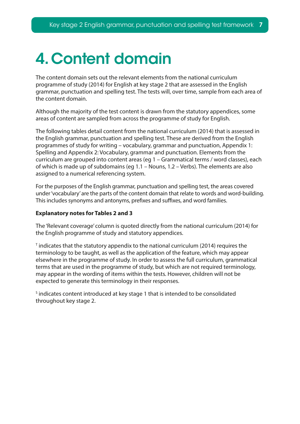# <span id="page-6-0"></span>4. Content domain

The content domain sets out the relevant elements from the national curriculum programme of study (2014) for English at key stage 2 that are assessed in the English grammar, punctuation and spelling test. The tests will, over time, sample from each area of the content domain.

Although the majority of the test content is drawn from the statutory appendices, some areas of content are sampled from across the programme of study for English.

The following tables detail content from the national curriculum (2014) that is assessed in the English grammar, punctuation and spelling test. These are derived from the English programmes of study for writing – vocabulary, grammar and punctuation, Appendix 1: Spelling and Appendix 2: Vocabulary, grammar and punctuation. Elements from the curriculum are grouped into content areas (eg 1 – Grammatical terms / word classes), each of which is made up of subdomains (eg 1.1 – Nouns, 1.2 – Verbs). The elements are also assigned to a numerical referencing system.

For the purposes of the English grammar, punctuation and spelling test, the areas covered under 'vocabulary' are the parts of the content domain that relate to words and word-building. This includes synonyms and antonyms, prefixes and suffixes, and word families.

#### **Explanatory notes for Tables 2 and 3**

The 'Relevant coverage' column is quoted directly from the national curriculum (2014) for the English programme of study and statutory appendices.

 $\texttt{T}$  indicates that the statutory appendix to the national curriculum (2014) requires the terminology to be taught, as well as the application of the feature, which may appear elsewhere in the programme of study. In order to assess the full curriculum, grammatical terms that are used in the programme of study, but which are not required terminology, may appear in the wording of items within the tests. However, children will not be expected to generate this terminology in their responses.

<sup>5</sup> indicates content introduced at key stage 1 that is intended to be consolidated throughout key stage 2.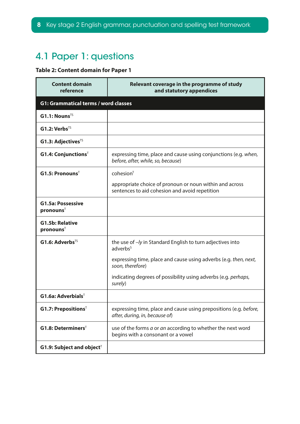## <span id="page-7-0"></span>4.1 Paper 1: questions

### **Table 2: Content domain for Paper 1**

| <b>Content domain</b><br>reference                | Relevant coverage in the programme of study<br>and statutory appendices                                   |
|---------------------------------------------------|-----------------------------------------------------------------------------------------------------------|
| <b>G1: Grammatical terms / word classes</b>       |                                                                                                           |
| $GI.1: Nouns^{TS}$                                |                                                                                                           |
| $G1.2: Verbs^{TS}$                                |                                                                                                           |
| $G1.3$ : Adjectives <sup><math>TS</math></sup>    |                                                                                                           |
| $G1.4:$ Conjunctions <sup>T</sup>                 | expressing time, place and cause using conjunctions (e.g. when,<br>before, after, while, so, because)     |
| $G1.5$ : Pronouns <sup>T</sup>                    | cohesion <sup>T</sup>                                                                                     |
|                                                   | appropriate choice of pronoun or noun within and across<br>sentences to aid cohesion and avoid repetition |
| <b>G1.5a: Possessive</b><br>pronouns <sup>T</sup> |                                                                                                           |
| <b>G1.5b: Relative</b><br>pronouns <sup>T</sup>   |                                                                                                           |
| $G1.6$ : Adverbs <sup>TS</sup>                    | the use of -/y in Standard English to turn adjectives into<br>adverbs <sup>s</sup>                        |
|                                                   | expressing time, place and cause using adverbs (e.g. then, next,<br>soon, therefore)                      |
|                                                   | indicating degrees of possibility using adverbs (e.g. perhaps,<br>surely)                                 |
| $G1.6a$ : Adverbials <sup>T</sup>                 |                                                                                                           |
| $G1.7$ : Prepositions <sup>T</sup>                | expressing time, place and cause using prepositions (e.g. before,<br>after, during, in, because of)       |
| $G1.8:$ Determiners <sup>T</sup>                  | use of the forms a or an according to whether the next word<br>begins with a consonant or a vowel         |
| G1.9: Subject and object <sup>T</sup>             |                                                                                                           |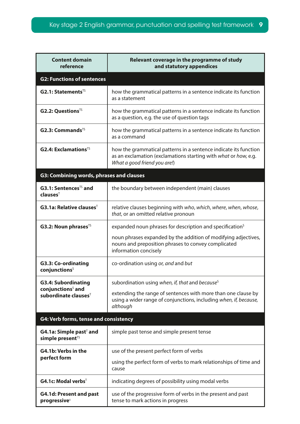| <b>Content domain</b><br>reference                                  | Relevant coverage in the programme of study<br>and statutory appendices                                                                                             |  |
|---------------------------------------------------------------------|---------------------------------------------------------------------------------------------------------------------------------------------------------------------|--|
| <b>G2: Functions of sentences</b>                                   |                                                                                                                                                                     |  |
| $G2.1$ : Statements <sup>TS</sup>                                   | how the grammatical patterns in a sentence indicate its function<br>as a statement                                                                                  |  |
| $G2.2: Questions T5$                                                | how the grammatical patterns in a sentence indicate its function<br>as a question, e.g. the use of question tags                                                    |  |
| $G2.3: CommandsTS$                                                  | how the grammatical patterns in a sentence indicate its function<br>as a command                                                                                    |  |
| $G2.4: ExclamationsTS$                                              | how the grammatical patterns in a sentence indicate its function<br>as an exclamation (exclamations starting with what or how, e.g.<br>What a good friend you are!) |  |
| G3: Combining words, phrases and clauses                            |                                                                                                                                                                     |  |
| $G3.1$ : Sentences <sup>TS</sup> and<br>clauses <sup>T</sup>        | the boundary between independent (main) clauses                                                                                                                     |  |
| <b>G3.1a: Relative clauses</b> <sup><math>\mathsf{T}</math></sup>   | relative clauses beginning with who, which, where, when, whose,<br>that, or an omitted relative pronoun                                                             |  |
| <b>G3.2: Noun phrases</b> <sup>TS</sup>                             | expanded noun phrases for description and specification <sup>s</sup>                                                                                                |  |
|                                                                     | noun phrases expanded by the addition of modifying adjectives,<br>nouns and preposition phrases to convey complicated<br>information concisely                      |  |
| <b>G3.3: Co-ordinating</b><br>conjunctions <sup>S</sup>             | co-ordination using or, and and but                                                                                                                                 |  |
| <b>G3.4: Subordinating</b>                                          | subordination using when, if, that and because <sup>s</sup>                                                                                                         |  |
| conjunctions <sup>5</sup> and<br>subordinate clauses ${}^{T}$       | extending the range of sentences with more than one clause by<br>using a wider range of conjunctions, including when, if, because,<br>although                      |  |
| G4: Verb forms, tense and consistency                               |                                                                                                                                                                     |  |
| G4.1a: Simple past <sup>T</sup> and<br>simple present <sup>TS</sup> | simple past tense and simple present tense                                                                                                                          |  |
| G4.1b: Verbs in the                                                 | use of the present perfect form of verbs                                                                                                                            |  |
| perfect form                                                        | using the perfect form of verbs to mark relationships of time and<br>cause                                                                                          |  |
| G4.1c: Modal verbs $^T$                                             | indicating degrees of possibility using modal verbs                                                                                                                 |  |
| <b>G4.1d: Present and past</b><br>progressives                      | use of the progressive form of verbs in the present and past<br>tense to mark actions in progress                                                                   |  |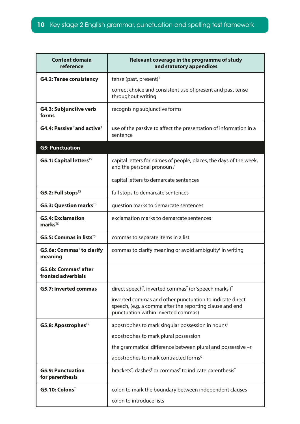| <b>Content domain</b><br>reference                     | Relevant coverage in the programme of study<br>and statutory appendices                                                                                     |  |
|--------------------------------------------------------|-------------------------------------------------------------------------------------------------------------------------------------------------------------|--|
| <b>G4.2: Tense consistency</b>                         | tense (past, present) $T$                                                                                                                                   |  |
|                                                        | correct choice and consistent use of present and past tense<br>throughout writing                                                                           |  |
| <b>G4.3: Subjunctive verb</b><br>forms                 | recognising subjunctive forms                                                                                                                               |  |
| $G4.4: PassiveT and activeT$                           | use of the passive to affect the presentation of information in a<br>sentence                                                                               |  |
| <b>G5: Punctuation</b>                                 |                                                                                                                                                             |  |
| $G5.1: Capital lettersTS$                              | capital letters for names of people, places, the days of the week,<br>and the personal pronoun /                                                            |  |
|                                                        | capital letters to demarcate sentences                                                                                                                      |  |
| G5.2: Full stops $^{TS}$                               | full stops to demarcate sentences                                                                                                                           |  |
| <b>G5.3: Question marks<sup>TS</sup></b>               | question marks to demarcate sentences                                                                                                                       |  |
| <b>G5.4: Exclamation</b><br>$marks^{TS}$               | exclamation marks to demarcate sentences                                                                                                                    |  |
| <b>G5.5: Commas in lists</b> <sup>TS</sup>             | commas to separate items in a list                                                                                                                          |  |
| G5.6a: Commas <sup>™</sup> to clarify<br>meaning       | commas to clarify meaning or avoid ambiguity $T$ in writing                                                                                                 |  |
| G5.6b: Commas <sup>™</sup> after<br>fronted adverbials |                                                                                                                                                             |  |
| <b>G5.7: Inverted commas</b>                           | direct speech <sup>T</sup> , inverted commas <sup>T</sup> (or 'speech marks') <sup>T</sup>                                                                  |  |
|                                                        | inverted commas and other punctuation to indicate direct<br>speech, (e.g. a comma after the reporting clause and end<br>punctuation within inverted commas) |  |
| G5.8: Apostrophes <sup>TS</sup>                        | apostrophes to mark singular possession in nouns <sup>s</sup>                                                                                               |  |
|                                                        | apostrophes to mark plural possession                                                                                                                       |  |
|                                                        | the grammatical difference between plural and possessive $-s$                                                                                               |  |
|                                                        | apostrophes to mark contracted forms <sup>5</sup>                                                                                                           |  |
| <b>G5.9: Punctuation</b><br>for parenthesis            | brackets <sup>T</sup> , dashes <sup>T</sup> or commas <sup>T</sup> to indicate parenthesis <sup>T</sup>                                                     |  |
| G5.10:Colons <sup>T</sup>                              | colon to mark the boundary between independent clauses                                                                                                      |  |
|                                                        | colon to introduce lists                                                                                                                                    |  |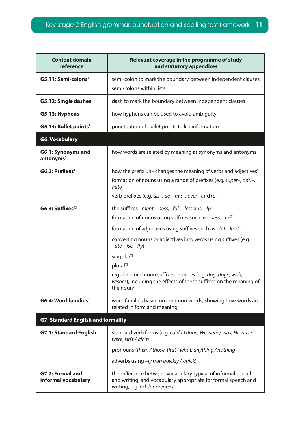| <b>Content domain</b><br>reference          | Relevant coverage in the programme of study<br>and statutory appendices                                                                                                                                                                                                                                                                                                                                                                                                                                                            |  |
|---------------------------------------------|------------------------------------------------------------------------------------------------------------------------------------------------------------------------------------------------------------------------------------------------------------------------------------------------------------------------------------------------------------------------------------------------------------------------------------------------------------------------------------------------------------------------------------|--|
| $G5.11: Semi-color> colorsT$                | semi-colon to mark the boundary between independent clauses<br>semi-colons within lists                                                                                                                                                                                                                                                                                                                                                                                                                                            |  |
| $G5.12$ : Single dashes <sup>T</sup>        | dash to mark the boundary between independent clauses                                                                                                                                                                                                                                                                                                                                                                                                                                                                              |  |
| G5.13: Hyphens                              | how hyphens can be used to avoid ambiguity                                                                                                                                                                                                                                                                                                                                                                                                                                                                                         |  |
| $G5.14:$ Bullet points <sup>T</sup>         | punctuation of bullet points to list information                                                                                                                                                                                                                                                                                                                                                                                                                                                                                   |  |
| <b>G6: Vocabulary</b>                       |                                                                                                                                                                                                                                                                                                                                                                                                                                                                                                                                    |  |
| G6.1: Synonyms and<br>antonyms <sup>T</sup> | how words are related by meaning as synonyms and antonyms                                                                                                                                                                                                                                                                                                                                                                                                                                                                          |  |
| $G6.2: PrefixesT$                           | how the prefix <i>un</i> – changes the meaning of verbs and adjectives <sup>s</sup><br>formation of nouns using a range of prefixes (e.g. super-, anti-,<br>$auto-)$<br>verb prefixes (e.g. dis-, de-, mis-, over- and re-)                                                                                                                                                                                                                                                                                                        |  |
| $G6.3:$ Suffixes <sup>TS</sup>              | the suffixes –ment, –ness, –ful, –less and –ly <sup>s</sup><br>formation of nouns using suffixes such as $-ness$ , $-er^{ST}$<br>formation of adjectives using suffixes such as -ful, -less <sup>ST</sup><br>converting nouns or adjectives into verbs using suffixes (e.g.<br>$-\alpha t e$ , $-ise$ , $-ify$ )<br>singular <sup>TS</sup><br>plural <sup>TS</sup><br>regular plural noun suffixes -s or -es (e.g. dog, dogs; wish,<br>wishes), including the effects of these suffixes on the meaning of<br>the noun <sup>s</sup> |  |
| $G6.4: Word familiesT$                      | word families based on common words, showing how words are<br>related in form and meaning                                                                                                                                                                                                                                                                                                                                                                                                                                          |  |
| <b>G7: Standard English and formality</b>   |                                                                                                                                                                                                                                                                                                                                                                                                                                                                                                                                    |  |
| <b>G7.1: Standard English</b>               | standard verb forms (e.g. I did / I done, We were / was, He was /<br>were, $isn't / ain't$<br>pronouns (them / those, that / what, anything / nothing)<br>adverbs using -ly (run quickly / quick)                                                                                                                                                                                                                                                                                                                                  |  |
| G7.2: Formal and<br>informal vocabulary     | the difference between vocabulary typical of informal speech<br>and writing, and vocabulary appropriate for formal speech and<br>writing, e.g. ask for / request                                                                                                                                                                                                                                                                                                                                                                   |  |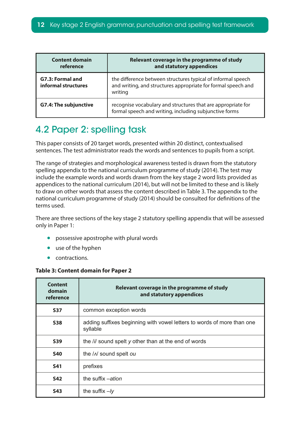<span id="page-11-0"></span>

| <b>Content domain</b><br>reference      | Relevant coverage in the programme of study<br>and statutory appendices                                                                  |  |
|-----------------------------------------|------------------------------------------------------------------------------------------------------------------------------------------|--|
| G7.3: Formal and<br>informal structures | the difference between structures typical of informal speech<br>and writing, and structures appropriate for formal speech and<br>writing |  |
| <b>G7.4: The subjunctive</b>            | recognise vocabulary and structures that are appropriate for<br>formal speech and writing, including subjunctive forms                   |  |

## 4.2 Paper 2: spelling task

This paper consists of 20 target words, presented within 20 distinct, contextualised sentences. The test administrator reads the words and sentences to pupils from a script.

The range of strategies and morphological awareness tested is drawn from the statutory spelling appendix to the national curriculum programme of study (2014). The test may include the example words and words drawn from the key stage 2 word lists provided as appendices to the national curriculum (2014), but will not be limited to these and is likely to draw on other words that assess the content described in Table 3. The appendix to the national curriculum programme of study (2014) should be consulted for defnitions of the terms used.

There are three sections of the key stage 2 statutory spelling appendix that will be assessed only in Paper 1:

- possessive apostrophe with plural words
- use of the hyphen
- contractions.

#### **Table 3: Content domain for Paper 2**

| Content<br>domain<br>reference | Relevant coverage in the programme of study<br>and statutory appendices            |
|--------------------------------|------------------------------------------------------------------------------------|
| <b>S37</b>                     | common exception words                                                             |
| <b>S38</b>                     | adding suffixes beginning with vowel letters to words of more than one<br>syllable |
| <b>S39</b>                     | the /i/ sound spelt y other than at the end of words                               |
| <b>S40</b>                     | the / N sound spelt ou                                                             |
| <b>S41</b>                     | prefixes                                                                           |
| <b>S42</b>                     | the suffix -ation                                                                  |
| <b>S43</b>                     | the suffix $-ly$                                                                   |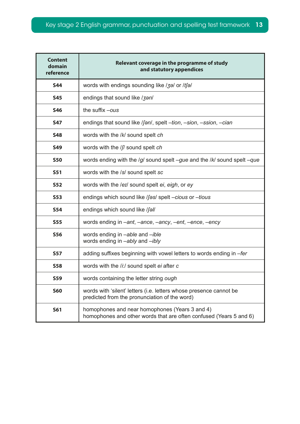| <b>Content</b><br>domain<br>reference | Relevant coverage in the programme of study<br>and statutory appendices                                              |  |
|---------------------------------------|----------------------------------------------------------------------------------------------------------------------|--|
| <b>S44</b>                            | words with endings sounding like /3a/ or /tfa/                                                                       |  |
| <b>S45</b>                            | endings that sound like / 3an/                                                                                       |  |
| <b>S46</b>                            | the suffix -ous                                                                                                      |  |
| <b>S47</b>                            | endings that sound like /fan/, spelt -tion, -sion, -ssion, -cian                                                     |  |
| <b>S48</b>                            | words with the /k/ sound spelt ch                                                                                    |  |
| <b>S49</b>                            | words with the /f/ sound spelt ch                                                                                    |  |
| <b>S50</b>                            | words ending with the $/g/$ sound spelt $-gue$ and the $/k/$ sound spelt $-gue$                                      |  |
| <b>S51</b>                            | words with the /s/ sound spelt sc                                                                                    |  |
| <b>S52</b>                            | words with the /eɪ/ sound spelt ei, eigh, or ey                                                                      |  |
| <b>S53</b>                            | endings which sound like /fas/ spelt -cious or -tious                                                                |  |
| <b>S54</b>                            | endings which sound like /fall                                                                                       |  |
| <b>S55</b>                            | words ending in -ant, -ance, -ancy, -ent, -ence, -ency                                                               |  |
| <b>S56</b>                            | words ending in -able and -ible<br>words ending in -ably and -ibly                                                   |  |
| <b>S57</b>                            | adding suffixes beginning with vowel letters to words ending in -fer                                                 |  |
| <b>S58</b>                            | words with the /i:/ sound spelt ei after c                                                                           |  |
| S59                                   | words containing the letter string ough                                                                              |  |
| <b>S60</b>                            | words with 'silent' letters (i.e. letters whose presence cannot be<br>predicted from the pronunciation of the word)  |  |
| <b>S61</b>                            | homophones and near homophones (Years 3 and 4)<br>homophones and other words that are often confused (Years 5 and 6) |  |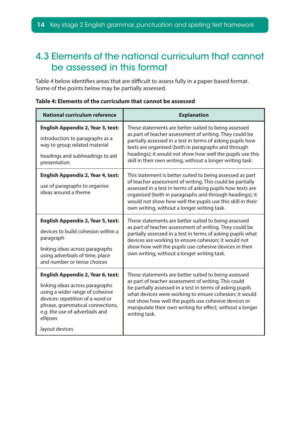## <span id="page-13-0"></span>4.3 Elements of the national curriculum that cannot be assessed in this format

Table 4 below identifies areas that are difficult to assess fully in a paper-based format. Some of the points below may be partially assessed.

| <b>National curriculum reference</b>                                                                                                                                                                                                                   | <b>Explanation</b>                                                                                                                                                                                                                                                                                                                                                        |
|--------------------------------------------------------------------------------------------------------------------------------------------------------------------------------------------------------------------------------------------------------|---------------------------------------------------------------------------------------------------------------------------------------------------------------------------------------------------------------------------------------------------------------------------------------------------------------------------------------------------------------------------|
| <b>English Appendix 2, Year 3, text:</b><br>introduction to paragraphs as a<br>way to group related material<br>headings and subheadings to aid<br>presentation                                                                                        | These statements are better suited to being assessed<br>as part of teacher assessment of writing. They could be<br>partially assessed in a test in terms of asking pupils how<br>texts are organised (both in paragraphs and through<br>headings); it would not show how well the pupils use this<br>skill in their own writing, without a longer writing task.           |
| <b>English Appendix 2, Year 4, text:</b><br>use of paragraphs to organise<br>ideas around a theme                                                                                                                                                      | This statement is better suited to being assessed as part<br>of teacher assessment of writing. This could be partially<br>assessed in a test in terms of asking pupils how texts are<br>organised (both in paragraphs and through headings); it<br>would not show how well the pupils use this skill in their<br>own writing, without a longer writing task.              |
| <b>English Appendix 2, Year 5, text:</b><br>devices to build cohesion within a<br>paragraph<br>linking ideas across paragraphs<br>using adverbials of time, place<br>and number or tense choices                                                       | These statements are better suited to being assessed<br>as part of teacher assessment of writing. They could be<br>partially assessed in a test in terms of asking pupils what<br>devices are working to ensure cohesion; it would not<br>show how well the pupils use cohesive devices in their<br>own writing, without a longer writing task.                           |
| <b>English Appendix 2, Year 6, text:</b><br>linking ideas across paragraphs<br>using a wider range of cohesive<br>devices: repetition of a word or<br>phrase, grammatical connections,<br>e.g. the use of adverbials and<br>ellipses<br>layout devices | These statements are better suited to being assessed<br>as part of teacher assessment of writing. This could<br>be partially assessed in a test in terms of asking pupils<br>what devices were working to ensure cohesion; it would<br>not show how well the pupils use cohesive devices or<br>manipulate their own writing for effect, without a longer<br>writing task. |

#### **Table 4: Elements of the curriculum that cannot be assessed**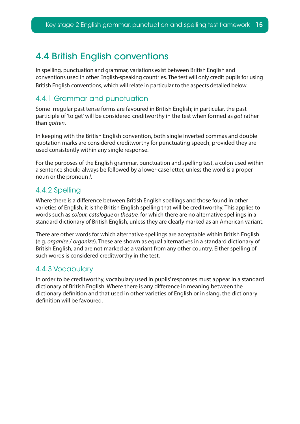## <span id="page-14-0"></span>4.4 British English conventions

In spelling, punctuation and grammar, variations exist between British English and conventions used in other English-speaking countries. The test will only credit pupils for using British English conventions, which will relate in particular to the aspects detailed below.

### 4.4.1 Grammar and punctuation

Some irregular past tense forms are favoured in British English; in particular, the past participle of 'to get' will be considered creditworthy in the test when formed as *got* rather than *gotten*.

In keeping with the British English convention, both single inverted commas and double quotation marks are considered creditworthy for punctuating speech, provided they are used consistently within any single response.

For the purposes of the English grammar, punctuation and spelling test, a colon used within a sentence should always be followed by a lower-case letter, unless the word is a proper noun or the pronoun *I*.

### 4.4.2 Spelling

Where there is a diference between British English spellings and those found in other varieties of English, it is the British English spelling that will be creditworthy. This applies to words such as *colour, catalogue* or *theatre,* for which there are no alternative spellings in a standard dictionary of British English, unless they are clearly marked as an American variant.

There are other words for which alternative spellings are acceptable within British English (e.g. *organise* / *organize*). These are shown as equal alternatives in a standard dictionary of British English, and are not marked as a variant from any other country. Either spelling of such words is considered creditworthy in the test.

### 4.4.3 Vocabulary

In order to be creditworthy, vocabulary used in pupils' responses must appear in a standard dictionary of British English. Where there is any diference in meaning between the dictionary defnition and that used in other varieties of English or in slang, the dictionary defnition will be favoured.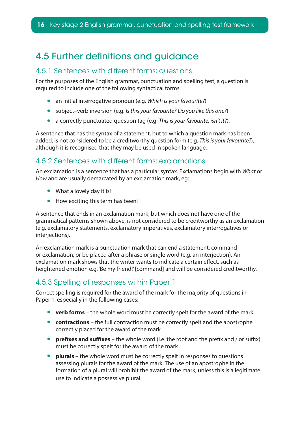## <span id="page-15-0"></span>4.5 Further defnitions and guidance

### 4.5.1 Sentences with different forms: questions

For the purposes of the English grammar, punctuation and spelling test, a question is required to include one of the following syntactical forms:

- an initial interrogative pronoun (e.g. *Which is your favourite?*)
- subject–verb inversion (e.g. *Is this your favourite? Do you like this one?*)
- a correctly punctuated question tag (e.g. *This is your favourite, isn't it?*).

A sentence that has the syntax of a statement, but to which a question mark has been added, is not considered to be a creditworthy question form (e.g. *This is your favourite?*), although it is recognised that they may be used in spoken language.

### 4.5.2 Sentences with different forms: exclamations

An exclamation is a sentence that has a particular syntax. Exclamations begin with *What* or *How* and are usually demarcated by an exclamation mark, eg:

- What a lovely day it is!
- How exciting this term has been!

A sentence that ends in an exclamation mark, but which does not have one of the grammatical patterns shown above, is not considered to be creditworthy as an exclamation (e.g. exclamatory statements, exclamatory imperatives, exclamatory interrogatives or interjections).

An exclamation mark is a punctuation mark that can end a statement, command or exclamation, or be placed after a phrase or single word (e.g. an interjection). An exclamation mark shows that the writer wants to indicate a certain efect, such as heightened emotion e.g. 'Be my friend!' [command] and will be considered creditworthy.

### 4.5.3 Spelling of responses within Paper 1

Correct spelling is required for the award of the mark for the majority of questions in Paper 1, especially in the following cases:

- **verb forms**  the whole word must be correctly spelt for the award of the mark
- **contractions** the full contraction must be correctly spelt and the apostrophe correctly placed for the award of the mark
- **prefixes and suffixes** the whole word (i.e. the root and the prefix and / or suffix) must be correctly spelt for the award of the mark
- **plurals** the whole word must be correctly spelt in responses to questions assessing plurals for the award of the mark. The use of an apostrophe in the formation of a plural will prohibit the award of the mark, unless this is a legitimate use to indicate a possessive plural.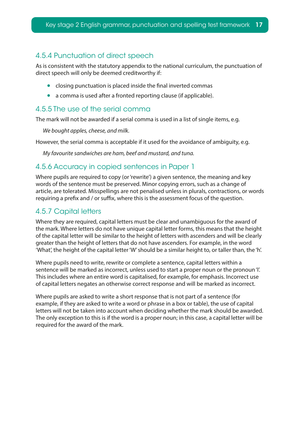### 4.5.4 Punctuation of direct speech

As is consistent with the statutory appendix to the national curriculum, the punctuation of direct speech will only be deemed creditworthy if:

- closing punctuation is placed inside the final inverted commas
- a comma is used after a fronted reporting clause (if applicable).

### 4.5.5 The use of the serial comma

The mark will not be awarded if a serial comma is used in a list of single items, e.g.

*We bought apples, cheese, and milk.*

However, the serial comma is acceptable if it used for the avoidance of ambiguity, e.g.

*My favourite sandwiches are ham, beef and mustard, and tuna.*

#### 4.5.6 Accuracy in copied sentences in Paper 1

Where pupils are required to copy (or 'rewrite') a given sentence, the meaning and key words of the sentence must be preserved. Minor copying errors, such as a change of article, are tolerated. Misspellings are not penalised unless in plurals, contractions, or words requiring a prefix and / or suffix, where this is the assessment focus of the question.

### 4.5.7 Capital letters

Where they are required, capital letters must be clear and unambiguous for the award of the mark. Where letters do not have unique capital letter forms, this means that the height of the capital letter will be similar to the height of letters with ascenders and will be clearly greater than the height of letters that do not have ascenders. For example, in the word 'What', the height of the capital letter 'W' should be a similar height to, or taller than, the 'h'.

Where pupils need to write, rewrite or complete a sentence, capital letters within a sentence will be marked as incorrect, unless used to start a proper noun or the pronoun 'I'. This includes where an entire word is capitalised, for example, for emphasis. Incorrect use of capital letters negates an otherwise correct response and will be marked as incorrect.

Where pupils are asked to write a short response that is not part of a sentence (for example, if they are asked to write a word or phrase in a box or table), the use of capital letters will not be taken into account when deciding whether the mark should be awarded. The only exception to this is if the word is a proper noun; in this case, a capital letter will be required for the award of the mark.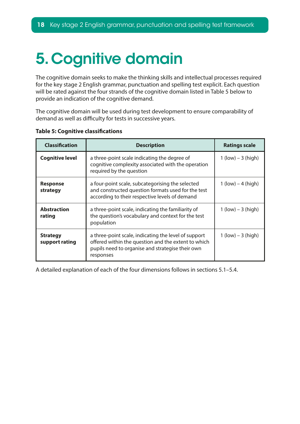# <span id="page-17-0"></span>5. Cognitive domain

The cognitive domain seeks to make the thinking skills and intellectual processes required for the key stage 2 English grammar, punctuation and spelling test explicit. Each question will be rated against the four strands of the cognitive domain listed in Table 5 below to provide an indication of the cognitive demand.

The cognitive domain will be used during test development to ensure comparability of demand as well as difficulty for tests in successive years.

| <b>Classification</b>             | <b>Description</b>                                                                                                                                                           | <b>Ratings scale</b>  |
|-----------------------------------|------------------------------------------------------------------------------------------------------------------------------------------------------------------------------|-----------------------|
| <b>Cognitive level</b>            | a three-point scale indicating the degree of<br>cognitive complexity associated with the operation<br>required by the question                                               | $1$ (low) $-3$ (high) |
| <b>Response</b><br>strategy       | a four-point scale, subcategorising the selected<br>and constructed question formats used for the test<br>according to their respective levels of demand                     | $1$ (low) $-4$ (high) |
| <b>Abstraction</b><br>rating      | a three-point scale, indicating the familiarity of<br>the question's vocabulary and context for the test<br>population                                                       |                       |
| <b>Strategy</b><br>support rating | a three-point scale, indicating the level of support<br>offered within the question and the extent to which<br>pupils need to organise and strategise their own<br>responses | $1$ (low) $-3$ (high) |

**Table 5: Cognitive classifcations**

A detailed explanation of each of the four dimensions follows in sections 5.1–5.4.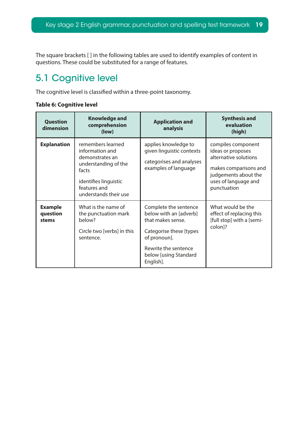<span id="page-18-0"></span>The square brackets [ ] in the following tables are used to identify examples of content in questions. These could be substituted for a range of features.

## 5.1 Cognitive level

The cognitive level is classifed within a three-point taxonomy.

#### **Table 6: Cognitive level**

| <b>Question</b><br>dimension        | <b>Knowledge and</b><br>comprehension<br>(low)                                                                                                             | <b>Application and</b><br>analysis                                                                                                                                            | <b>Synthesis and</b><br>evaluation<br>(high)                                                                                                             |
|-------------------------------------|------------------------------------------------------------------------------------------------------------------------------------------------------------|-------------------------------------------------------------------------------------------------------------------------------------------------------------------------------|----------------------------------------------------------------------------------------------------------------------------------------------------------|
| <b>Explanation</b>                  | remembers learned<br>information and<br>demonstrates an<br>understanding of the<br>facts<br>identifies linguistic<br>features and<br>understands their use | applies knowledge to<br>given linguistic contexts<br>categorises and analyses<br>examples of language                                                                         | compiles component<br>ideas or proposes<br>alternative solutions<br>makes comparisons and<br>judgements about the<br>uses of language and<br>punctuation |
| <b>Example</b><br>question<br>stems | What is the name of<br>the punctuation mark<br>below?<br>Circle two [verbs] in this<br>sentence.                                                           | Complete the sentence<br>below with an [adverb]<br>that makes sense.<br>Categorise these [types<br>of pronoun].<br>Rewrite the sentence<br>below [using Standard<br>English]. | What would be the<br>effect of replacing this<br>[full stop] with a [semi-<br>colon]?                                                                    |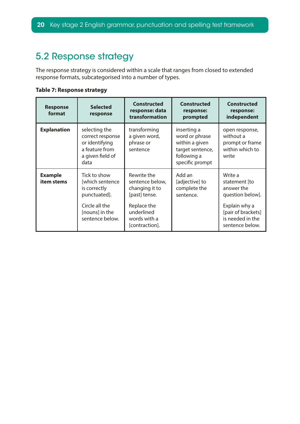## <span id="page-19-0"></span>5.2 Response strategy

The response strategy is considered within a scale that ranges from closed to extended response formats, subcategorised into a number of types.

**Table 7: Response strategy**

| <b>Response</b><br>format    | <b>Selected</b><br>response                                                                                            | <b>Constructed</b><br>response: data<br>transformation                                                                           | <b>Constructed</b><br>response:<br>prompted                                                           | <b>Constructed</b><br>response:<br>independent                                                                                           |
|------------------------------|------------------------------------------------------------------------------------------------------------------------|----------------------------------------------------------------------------------------------------------------------------------|-------------------------------------------------------------------------------------------------------|------------------------------------------------------------------------------------------------------------------------------------------|
| <b>Explanation</b>           | selecting the<br>correct response<br>or identifying<br>a feature from<br>a given field of<br>data                      | transforming<br>a given word,<br>phrase or<br>sentence                                                                           | inserting a<br>word or phrase<br>within a given<br>target sentence,<br>following a<br>specific prompt | open response,<br>without a<br>prompt or frame<br>within which to<br>write                                                               |
| <b>Example</b><br>item stems | Tick to show<br>[which sentence<br>is correctly<br>punctuated].<br>Circle all the<br>[nouns] in the<br>sentence below. | Rewrite the<br>sentence below,<br>changing it to<br>[past] tense.<br>Replace the<br>underlined<br>words with a<br>[contraction]. | Add an<br>[adjective] to<br>complete the<br>sentence.                                                 | Write a<br>statement [to<br>answer the<br>question below].<br>Explain why a<br>[pair of brackets]<br>is needed in the<br>sentence below. |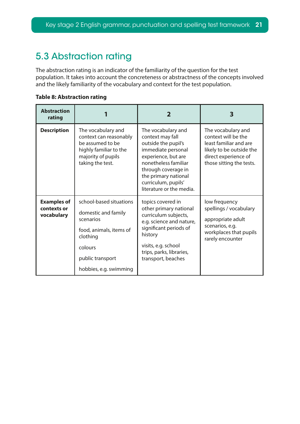## <span id="page-20-0"></span>5.3 Abstraction rating

The abstraction rating is an indicator of the familiarity of the question for the test population. It takes into account the concreteness or abstractness of the concepts involved and the likely familiarity of the vocabulary and context for the test population.

**Table 8: Abstraction rating**

| <b>Abstraction</b><br>rating                    |                                                                                                                                                             | 2                                                                                                                                                                                                                                    | З                                                                                                                                                   |
|-------------------------------------------------|-------------------------------------------------------------------------------------------------------------------------------------------------------------|--------------------------------------------------------------------------------------------------------------------------------------------------------------------------------------------------------------------------------------|-----------------------------------------------------------------------------------------------------------------------------------------------------|
| <b>Description</b>                              | The vocabulary and<br>context can reasonably<br>be assumed to be<br>highly familiar to the<br>majority of pupils<br>taking the test.                        | The vocabulary and<br>context may fall<br>outside the pupil's<br>immediate personal<br>experience, but are<br>nonetheless familiar<br>through coverage in<br>the primary national<br>curriculum, pupils'<br>literature or the media. | The vocabulary and<br>context will be the<br>least familiar and are<br>likely to be outside the<br>direct experience of<br>those sitting the tests. |
| <b>Examples of</b><br>contexts or<br>vocabulary | school-based situations<br>domestic and family<br>scenarios<br>food, animals, items of<br>clothing<br>colours<br>public transport<br>hobbies, e.g. swimming | topics covered in<br>other primary national<br>curriculum subjects,<br>e.g. science and nature,<br>significant periods of<br>history<br>visits, e.g. school<br>trips, parks, libraries,<br>transport, beaches                        | low frequency<br>spellings / vocabulary<br>appropriate adult<br>scenarios, e.g.<br>workplaces that pupils<br>rarely encounter                       |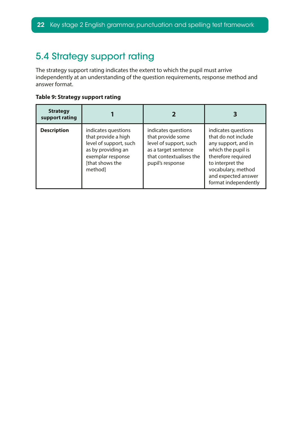## <span id="page-21-0"></span>5.4 Strategy support rating

The strategy support rating indicates the extent to which the pupil must arrive independently at an understanding of the question requirements, response method and answer format.

#### **Table 9: Strategy support rating**

| <b>Strategy</b><br>support rating |                                                                                                                                               |                                                                                                                                           |                                                                                                                                                                                                        |
|-----------------------------------|-----------------------------------------------------------------------------------------------------------------------------------------------|-------------------------------------------------------------------------------------------------------------------------------------------|--------------------------------------------------------------------------------------------------------------------------------------------------------------------------------------------------------|
| <b>Description</b>                | indicates questions<br>that provide a high<br>level of support, such<br>as by providing an<br>exemplar response<br>[that shows the<br>methodl | indicates questions<br>that provide some<br>level of support, such<br>as a target sentence<br>that contextualises the<br>pupil's response | indicates questions<br>that do not include<br>any support, and in<br>which the pupil is<br>therefore required<br>to interpret the<br>vocabulary, method<br>and expected answer<br>format independently |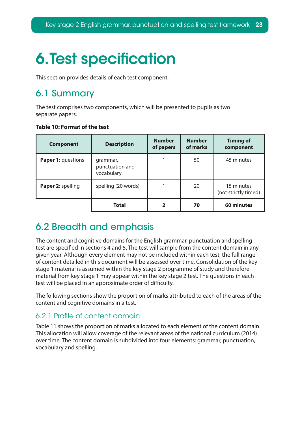# <span id="page-22-0"></span>**6. Test specification**

This section provides details of each test component.

## 6.1 Summary

The test comprises two components, which will be presented to pupils as two separate papers.

|  |  | Table 10: Format of the test |  |  |
|--|--|------------------------------|--|--|
|--|--|------------------------------|--|--|

| <b>Component</b>   | <b>Description</b>                        | <b>Number</b><br>of papers | <b>Number</b><br>of marks | <b>Timing of</b><br>component      |
|--------------------|-------------------------------------------|----------------------------|---------------------------|------------------------------------|
| Paper 1: questions | grammar,<br>punctuation and<br>vocabulary |                            | 50                        | 45 minutes                         |
| Paper 2: spelling  | spelling (20 words)                       |                            | 20                        | 15 minutes<br>(not strictly timed) |
|                    | <b>Total</b>                              | 2                          | 70                        | 60 minutes                         |

## 6.2 Breadth and emphasis

The content and cognitive domains for the English grammar, punctuation and spelling test are specifed in sections 4 and 5. The test will sample from the content domain in any given year. Although every element may not be included within each test, the full range of content detailed in this document will be assessed over time. Consolidation of the key stage 1 material is assumed within the key stage 2 programme of study and therefore material from key stage 1 may appear within the key stage 2 test. The questions in each test will be placed in an approximate order of difficulty.

The following sections show the proportion of marks attributed to each of the areas of the content and cognitive domains in a test.

### 6.2.1 Profle of content domain

Table 11 shows the proportion of marks allocated to each element of the content domain. This allocation will allow coverage of the relevant areas of the national curriculum (2014) over time. The content domain is subdivided into four elements: grammar, punctuation, vocabulary and spelling.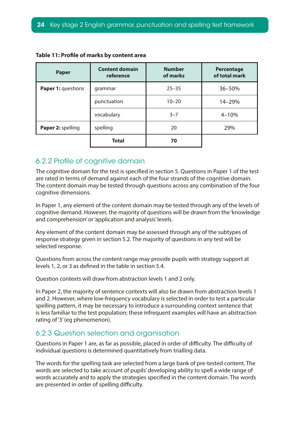| <b>Paper</b>       | <b>Content domain</b><br>reference | <b>Number</b><br>of marks | <b>Percentage</b><br>of total mark |
|--------------------|------------------------------------|---------------------------|------------------------------------|
| Paper 1: questions | grammar                            | $25 - 35$                 | 36-50%                             |
|                    | punctuation                        | $10 - 20$                 | 14-29%                             |
|                    | vocabulary                         | $3 - 7$                   | $4 - 10%$                          |
| Paper 2: spelling  | spelling                           | 20                        | 29%                                |
|                    | <b>Total</b>                       | 70                        |                                    |

|  |  |  |  |  |  | Table 11: Profile of marks by content area |
|--|--|--|--|--|--|--------------------------------------------|
|--|--|--|--|--|--|--------------------------------------------|

### 6.2.2 Profle of cognitive domain

The cognitive domain for the test is specifed in section 5. Questions in Paper 1 of the test are rated in terms of demand against each of the four strands of the cognitive domain. The content domain may be tested through questions across any combination of the four cognitive dimensions.

In Paper 1, any element of the content domain may be tested through any of the levels of cognitive demand. However, the majority of questions will be drawn from the 'knowledge and comprehension' or 'application and analysis' levels.

Any element of the content domain may be assessed through any of the subtypes of response strategy given in section 5.2. The majority of questions in any test will be selected response.

Questions from across the content range may provide pupils with strategy support at levels 1, 2, or 3 as defned in the table in section 5.4.

Question contexts will draw from abstraction levels 1 and 2 only.

In Paper 2, the majority of sentence contexts will also be drawn from abstraction levels 1 and 2. However, where low-frequency vocabulary is selected in order to test a particular spelling pattern, it may be necessary to introduce a surrounding context sentence that is less familiar to the test population; these infrequent examples will have an abstraction rating of '3' (eg phenomenon).

### 6.2.3 Question selection and organisation

Questions in Paper 1 are, as far as possible, placed in order of difficulty. The difficulty of individual questions is determined quantitatively from trialling data.

The words for the spelling task are selected from a large bank of pre-tested content. The words are selected to take account of pupils' developing ability to spell a wide range of words accurately and to apply the strategies specifed in the content domain. The words are presented in order of spelling difficulty.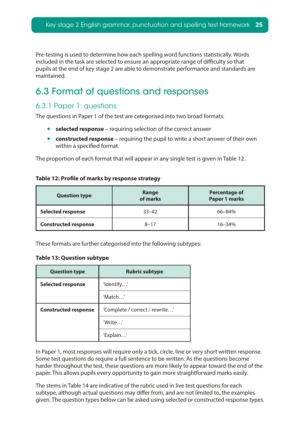<span id="page-24-0"></span>Pre-testing is used to determine how each spelling word functions statistically. Words included in the task are selected to ensure an appropriate range of difficulty so that pupils at the end of key stage 2 are able to demonstrate performance and standards are maintained.

## 6.3 Format of questions and responses

### 6.3.1 Paper 1: questions

The questions in Paper 1 of the test are categorised into two broad formats:

- **selected response** requiring selection of the correct answer
- **constructed response** requiring the pupil to write a short answer of their own within a specifed format.

The proportion of each format that will appear in any single test is given in Table 12.

#### **Table 12: Profle of marks by response strategy**

| <b>Question type</b>        | Range<br>of marks | <b>Percentage of</b><br><b>Paper 1 marks</b> |
|-----------------------------|-------------------|----------------------------------------------|
| <b>Selected response</b>    | $33 - 42$         | 66-84%                                       |
| <b>Constructed response</b> | $8 - 17$          | $16 - 34%$                                   |

These formats are further categorised into the following subtypes:

#### **Table 13: Question subtype**

| <b>Question type</b>        | <b>Rubric subtype</b>          |
|-----------------------------|--------------------------------|
| <b>Selected response</b>    | 'Identify'                     |
|                             | 'Match'                        |
| <b>Constructed response</b> | 'Complete / correct / rewrite' |
|                             | 'Write'                        |
|                             | 'Explain'                      |

In Paper 1, most responses will require only a tick, circle, line or very short written response. Some test questions do require a full sentence to be written. As the questions become harder throughout the test, these questions are more likely to appear toward the end of the paper. This allows pupils every opportunity to gain more straightforward marks easily.

The stems in Table 14 are indicative of the rubric used in live test questions for each subtype, although actual questions may difer from, and are not limited to, the examples given. The question types below can be asked using selected or constructed response types.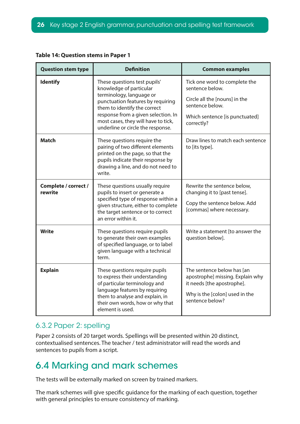| <b>Question stem type</b>       | <b>Definition</b>                                                                                                                                                                                                                                                           | <b>Common examples</b>                                                                                                                               |
|---------------------------------|-----------------------------------------------------------------------------------------------------------------------------------------------------------------------------------------------------------------------------------------------------------------------------|------------------------------------------------------------------------------------------------------------------------------------------------------|
| <b>Identify</b>                 | These questions test pupils'<br>knowledge of particular<br>terminology, language or<br>punctuation features by requiring<br>them to identify the correct<br>response from a given selection. In<br>most cases, they will have to tick,<br>underline or circle the response. | Tick one word to complete the<br>sentence below.<br>Circle all the [nouns] in the<br>sentence below.<br>Which sentence [is punctuated]<br>correctly? |
| <b>Match</b>                    | These questions require the<br>pairing of two different elements<br>printed on the page, so that the<br>pupils indicate their response by<br>drawing a line, and do not need to<br>write.                                                                                   | Draw lines to match each sentence<br>to [its type].                                                                                                  |
| Complete / correct /<br>rewrite | These questions usually require<br>pupils to insert or generate a<br>specified type of response within a<br>given structure, either to complete<br>the target sentence or to correct<br>an error within it.                                                                 | Rewrite the sentence below,<br>changing it to [past tense].<br>Copy the sentence below. Add<br>[commas] where necessary.                             |
| Write                           | These questions require pupils<br>to generate their own examples<br>of specified language, or to label<br>given language with a technical<br>term.                                                                                                                          | Write a statement [to answer the<br>question below].                                                                                                 |
| <b>Explain</b>                  | These questions require pupils<br>to express their understanding<br>of particular terminology and<br>language features by requiring<br>them to analyse and explain, in<br>their own words, how or why that<br>element is used.                                              | The sentence below has [an<br>apostrophe] missing. Explain why<br>it needs [the apostrophe].<br>Why is the [colon] used in the<br>sentence below?    |

#### <span id="page-25-0"></span>**Table 14: Question stems in Paper 1**

### 6.3.2 Paper 2: spelling

Paper 2 consists of 20 target words. Spellings will be presented within 20 distinct, contextualised sentences. The teacher / test administrator will read the words and sentences to pupils from a script.

## 6.4 Marking and mark schemes

The tests will be externally marked on screen by trained markers.

The mark schemes will give specifc guidance for the marking of each question, together with general principles to ensure consistency of marking.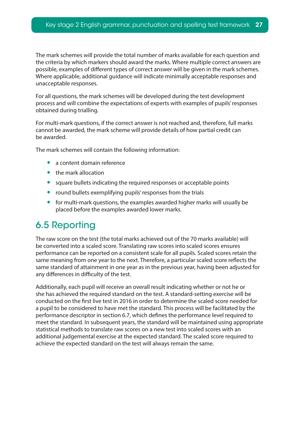<span id="page-26-0"></span>The mark schemes will provide the total number of marks available for each question and the criteria by which markers should award the marks. Where multiple correct answers are possible, examples of diferent types of correct answer will be given in the mark schemes. Where applicable, additional guidance will indicate minimally acceptable responses and unacceptable responses.

For all questions, the mark schemes will be developed during the test development process and will combine the expectations of experts with examples of pupils' responses obtained during trialling.

For multi-mark questions, if the correct answer is not reached and, therefore, full marks cannot be awarded, the mark scheme will provide details of how partial credit can be awarded.

The mark schemes will contain the following information:

- a content domain reference
- the mark allocation
- square bullets indicating the required responses or acceptable points
- round bullets exemplifying pupils' responses from the trials
- for multi-mark questions, the examples awarded higher marks will usually be placed before the examples awarded lower marks.

## 6.5 Reporting

The raw score on the test (the total marks achieved out of the 70 marks available) will be converted into a scaled score. Translating raw scores into scaled scores ensures performance can be reported on a consistent scale for all pupils. Scaled scores retain the same meaning from one year to the next. Therefore, a particular scaled score refects the same standard of attainment in one year as in the previous year, having been adjusted for any differences in difficulty of the test.

Additionally, each pupil will receive an overall result indicating whether or not he or she has achieved the required standard on the test. A standard-setting exercise will be conducted on the frst live test in 2016 in order to determine the scaled score needed for a pupil to be considered to have met the standard. This process will be facilitated by the performance descriptor in section 6.7, which defnes the performance level required to meet the standard. In subsequent years, the standard will be maintained using appropriate statistical methods to translate raw scores on a new test into scaled scores with an additional judgemental exercise at the expected standard. The scaled score required to achieve the expected standard on the test will always remain the same.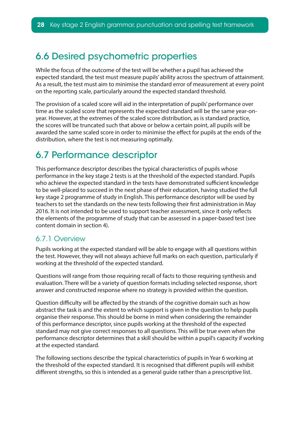## <span id="page-27-0"></span>6.6 Desired psychometric properties

While the focus of the outcome of the test will be whether a pupil has achieved the expected standard, the test must measure pupils' ability across the spectrum of attainment. As a result, the test must aim to minimise the standard error of measurement at every point on the reporting scale, particularly around the expected standard threshold.

The provision of a scaled score will aid in the interpretation of pupils' performance over time as the scaled score that represents the expected standard will be the same year-onyear. However, at the extremes of the scaled score distribution, as is standard practice, the scores will be truncated such that above or below a certain point, all pupils will be awarded the same scaled score in order to minimise the efect for pupils at the ends of the distribution, where the test is not measuring optimally.

## 6.7 Performance descriptor

This performance descriptor describes the typical characteristics of pupils whose performance in the key stage 2 tests is at the threshold of the expected standard. Pupils who achieve the expected standard in the tests have demonstrated sufficient knowledge to be well-placed to succeed in the next phase of their education, having studied the full key stage 2 programme of study in English. This performance descriptor will be used by teachers to set the standards on the new tests following their frst administration in May 2016. It is not intended to be used to support teacher assessment, since it only refects the elements of the programme of study that can be assessed in a paper-based test (see content domain in section 4).

### 6.7.1 Overview

Pupils working at the expected standard will be able to engage with all questions within the test. However, they will not always achieve full marks on each question, particularly if working at the threshold of the expected standard.

Questions will range from those requiring recall of facts to those requiring synthesis and evaluation. There will be a variety of question formats including selected response, short answer and constructed response where no strategy is provided within the question.

Question difficulty will be affected by the strands of the cognitive domain such as how abstract the task is and the extent to which support is given in the question to help pupils organise their response. This should be borne in mind when considering the remainder of this performance descriptor, since pupils working at the threshold of the expected standard may not give correct responses to all questions. This will be true even when the performance descriptor determines that a skill should be within a pupil's capacity if working at the expected standard.

The following sections describe the typical characteristics of pupils in Year 6 working at the threshold of the expected standard. It is recognised that diferent pupils will exhibit diferent strengths, so this is intended as a general guide rather than a prescriptive list.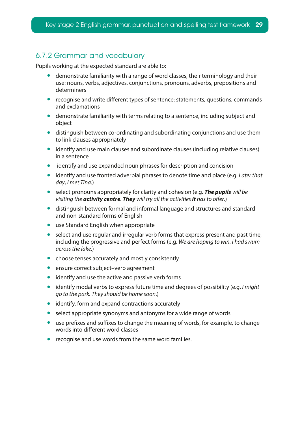### 6.7.2 Grammar and vocabulary

Pupils working at the expected standard are able to:

- demonstrate familiarity with a range of word classes, their terminology and their use: nouns, verbs, adjectives, conjunctions, pronouns, adverbs, prepositions and determiners
- recognise and write different types of sentence: statements, questions, commands and exclamations
- demonstrate familiarity with terms relating to a sentence, including subject and object
- distinguish between co-ordinating and subordinating conjunctions and use them to link clauses appropriately
- identify and use main clauses and subordinate clauses (including relative clauses) in a sentence
- identify and use expanded noun phrases for description and concision
- identify and use fronted adverbial phrases to denote time and place (e.g. *Later that day*, *I met Tina*.)
- select pronouns appropriately for clarity and cohesion (e.g. *The pupils will be visiting the activity centre. They will try all the activities it has to ofer*.)
- distinguish between formal and informal language and structures and standard and non-standard forms of English
- use Standard English when appropriate
- select and use regular and irregular verb forms that express present and past time, including the progressive and perfect forms (e.g. *We are hoping to win. I had swum across the lake*.)
- choose tenses accurately and mostly consistently
- ensure correct subject-verb agreement
- identify and use the active and passive verb forms
- identify modal verbs to express future time and degrees of possibility (e.g. *I might go to the park. They should be home soon*.)
- identify, form and expand contractions accurately
- select appropriate synonyms and antonyms for a wide range of words
- $\bullet$  use prefixes and suffixes to change the meaning of words, for example, to change words into diferent word classes
- recognise and use words from the same word families.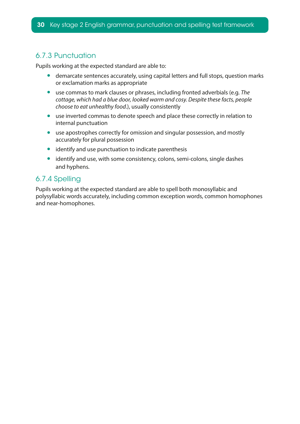### 6.7.3 Punctuation

Pupils working at the expected standard are able to:

- demarcate sentences accurately, using capital letters and full stops, question marks or exclamation marks as appropriate
- use commas to mark clauses or phrases, including fronted adverbials (e.g. *The cottage, which had a blue door, looked warm and cosy. Despite these facts, people choose to eat unhealthy food*.), usually consistently
- use inverted commas to denote speech and place these correctly in relation to internal punctuation
- use apostrophes correctly for omission and singular possession, and mostly accurately for plural possession
- identify and use punctuation to indicate parenthesis
- identify and use, with some consistency, colons, semi-colons, single dashes and hyphens.

### 6.7.4 Spelling

Pupils working at the expected standard are able to spell both monosyllabic and polysyllabic words accurately, including common exception words, common homophones and near-homophones.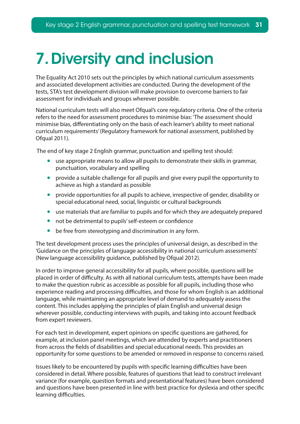# <span id="page-30-0"></span>7. Diversity and inclusion

The Equality Act 2010 sets out the principles by which national curriculum assessments and associated development activities are conducted. During the development of the tests, STA's test development division will make provision to overcome barriers to fair assessment for individuals and groups wherever possible.

National curriculum tests will also meet Ofqual's core regulatory criteria. One of the criteria refers to the need for assessment procedures to minimise bias: 'The assessment should minimise bias, diferentiating only on the basis of each learner's ability to meet national curriculum requirements' (Regulatory framework for national assessment, published by Ofqual 2011).

The end of key stage 2 English grammar, punctuation and spelling test should:

- use appropriate means to allow all pupils to demonstrate their skills in grammar, punctuation, vocabulary and spelling
- provide a suitable challenge for all pupils and give every pupil the opportunity to achieve as high a standard as possible
- provide opportunities for all pupils to achieve, irrespective of gender, disability or special educational need, social, linguistic or cultural backgrounds
- use materials that are familiar to pupils and for which they are adequately prepared
- not be detrimental to pupils' self-esteem or confdence
- be free from stereotyping and discrimination in any form.

The test development process uses the principles of universal design, as described in the 'Guidance on the principles of language accessibility in national curriculum assessments' (New language accessibility guidance, published by Ofqual 2012).

In order to improve general accessibility for all pupils, where possible, questions will be placed in order of difficulty. As with all national curriculum tests, attempts have been made to make the question rubric as accessible as possible for all pupils, including those who experience reading and processing difficulties, and those for whom English is an additional language, while maintaining an appropriate level of demand to adequately assess the content. This includes applying the principles of plain English and universal design wherever possible, conducting interviews with pupils, and taking into account feedback from expert reviewers.

For each test in development, expert opinions on specifc questions are gathered, for example, at inclusion panel meetings, which are attended by experts and practitioners from across the felds of disabilities and special educational needs. This provides an opportunity for some questions to be amended or removed in response to concerns raised.

Issues likely to be encountered by pupils with specific learning difficulties have been considered in detail. Where possible, features of questions that lead to construct irrelevant variance (for example, question formats and presentational features) have been considered and questions have been presented in line with best practice for dyslexia and other specifc learning difficulties.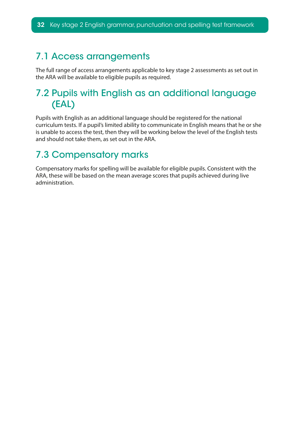## <span id="page-31-0"></span>7.1 Access arrangements

The full range of access arrangements applicable to key stage 2 assessments as set out in the ARA will be available to eligible pupils as required.

## 7.2 Pupils with English as an additional language (EAL)

Pupils with English as an additional language should be registered for the national curriculum tests. If a pupil's limited ability to communicate in English means that he or she is unable to access the test, then they will be working below the level of the English tests and should not take them, as set out in the ARA.

## 7.3 Compensatory marks

Compensatory marks for spelling will be available for eligible pupils. Consistent with the ARA, these will be based on the mean average scores that pupils achieved during live administration.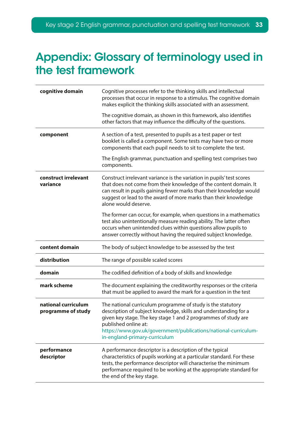## <span id="page-32-0"></span>Appendix: Glossary of terminology used in the test framework

| cognitive domain                          | Cognitive processes refer to the thinking skills and intellectual<br>processes that occur in response to a stimulus. The cognitive domain<br>makes explicit the thinking skills associated with an assessment.                                                                                                                |
|-------------------------------------------|-------------------------------------------------------------------------------------------------------------------------------------------------------------------------------------------------------------------------------------------------------------------------------------------------------------------------------|
|                                           | The cognitive domain, as shown in this framework, also identifies<br>other factors that may influence the difficulty of the questions.                                                                                                                                                                                        |
| component                                 | A section of a test, presented to pupils as a test paper or test<br>booklet is called a component. Some tests may have two or more<br>components that each pupil needs to sit to complete the test.                                                                                                                           |
|                                           | The English grammar, punctuation and spelling test comprises two<br>components.                                                                                                                                                                                                                                               |
| construct irrelevant<br>variance          | Construct irrelevant variance is the variation in pupils' test scores<br>that does not come from their knowledge of the content domain. It<br>can result in pupils gaining fewer marks than their knowledge would<br>suggest or lead to the award of more marks than their knowledge<br>alone would deserve.                  |
|                                           | The former can occur, for example, when questions in a mathematics<br>test also unintentionally measure reading ability. The latter often<br>occurs when unintended clues within questions allow pupils to<br>answer correctly without having the required subject knowledge.                                                 |
| content domain                            | The body of subject knowledge to be assessed by the test                                                                                                                                                                                                                                                                      |
| distribution                              | The range of possible scaled scores                                                                                                                                                                                                                                                                                           |
| domain                                    | The codified definition of a body of skills and knowledge                                                                                                                                                                                                                                                                     |
| mark scheme                               | The document explaining the creditworthy responses or the criteria<br>that must be applied to award the mark for a question in the test                                                                                                                                                                                       |
| national curriculum<br>programme of study | The national curriculum programme of study is the statutory<br>description of subject knowledge, skills and understanding for a<br>given key stage. The key stage 1 and 2 programmes of study are<br>published online at:<br>https://www.gov.uk/government/publications/national-curriculum-<br>in-england-primary-curriculum |
| performance<br>descriptor                 | A performance descriptor is a description of the typical<br>characteristics of pupils working at a particular standard. For these<br>tests, the performance descriptor will characterise the minimum<br>performance required to be working at the appropriate standard for<br>the end of the key stage.                       |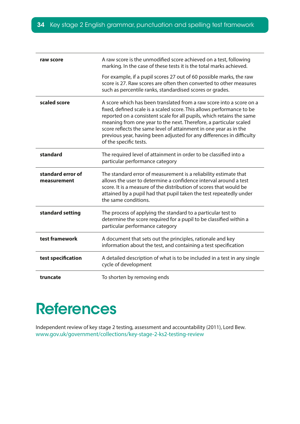<span id="page-33-0"></span>

| raw score                        | A raw score is the unmodified score achieved on a test, following<br>marking. In the case of these tests it is the total marks achieved.                                                                                                                                                                                                                                                                                                                            |
|----------------------------------|---------------------------------------------------------------------------------------------------------------------------------------------------------------------------------------------------------------------------------------------------------------------------------------------------------------------------------------------------------------------------------------------------------------------------------------------------------------------|
|                                  | For example, if a pupil scores 27 out of 60 possible marks, the raw<br>score is 27. Raw scores are often then converted to other measures<br>such as percentile ranks, standardised scores or grades.                                                                                                                                                                                                                                                               |
| scaled score                     | A score which has been translated from a raw score into a score on a<br>fixed, defined scale is a scaled score. This allows performance to be<br>reported on a consistent scale for all pupils, which retains the same<br>meaning from one year to the next. Therefore, a particular scaled<br>score reflects the same level of attainment in one year as in the<br>previous year, having been adjusted for any differences in difficulty<br>of the specific tests. |
| standard                         | The required level of attainment in order to be classified into a<br>particular performance category                                                                                                                                                                                                                                                                                                                                                                |
|                                  |                                                                                                                                                                                                                                                                                                                                                                                                                                                                     |
| standard error of<br>measurement | The standard error of measurement is a reliability estimate that<br>allows the user to determine a confidence interval around a test<br>score. It is a measure of the distribution of scores that would be<br>attained by a pupil had that pupil taken the test repeatedly under<br>the same conditions.                                                                                                                                                            |
| standard setting                 | The process of applying the standard to a particular test to<br>determine the score required for a pupil to be classified within a<br>particular performance category                                                                                                                                                                                                                                                                                               |
| test framework                   | A document that sets out the principles, rationale and key<br>information about the test, and containing a test specification                                                                                                                                                                                                                                                                                                                                       |
| test specification               | A detailed description of what is to be included in a test in any single<br>cycle of development                                                                                                                                                                                                                                                                                                                                                                    |

# **References**

Independent review of key stage 2 testing, assessment and accountability (2011), Lord Bew. www.gov.uk/government/collections/key-stage-2-ks2-testing-review